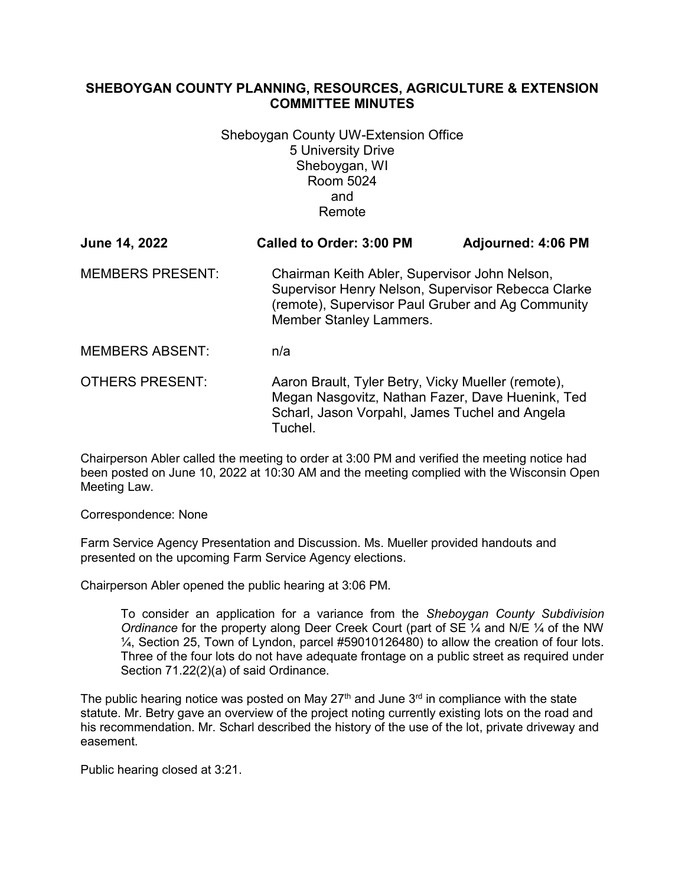## **SHEBOYGAN COUNTY PLANNING, RESOURCES, AGRICULTURE & EXTENSION COMMITTEE MINUTES**

Sheboygan County UW-Extension Office 5 University Drive Sheboygan, WI Room 5024 and Remote

| June 14, 2022           | <b>Called to Order: 3:00 PM</b>                                                                                                                                                            | <b>Adjourned: 4:06 PM</b> |
|-------------------------|--------------------------------------------------------------------------------------------------------------------------------------------------------------------------------------------|---------------------------|
| <b>MEMBERS PRESENT:</b> | Chairman Keith Abler, Supervisor John Nelson,<br>Supervisor Henry Nelson, Supervisor Rebecca Clarke<br>(remote), Supervisor Paul Gruber and Ag Community<br><b>Member Stanley Lammers.</b> |                           |
| <b>MEMBERS ABSENT:</b>  | n/a                                                                                                                                                                                        |                           |
| <b>OTHERS PRESENT:</b>  | Aaron Brault, Tyler Betry, Vicky Mueller (remote),<br>Megan Nasgovitz, Nathan Fazer, Dave Huenink, Ted<br>Scharl, Jason Vorpahl, James Tuchel and Angela<br>Tuchel.                        |                           |

Chairperson Abler called the meeting to order at 3:00 PM and verified the meeting notice had been posted on June 10, 2022 at 10:30 AM and the meeting complied with the Wisconsin Open Meeting Law.

Correspondence: None

Farm Service Agency Presentation and Discussion. Ms. Mueller provided handouts and presented on the upcoming Farm Service Agency elections.

Chairperson Abler opened the public hearing at 3:06 PM.

To consider an application for a variance from the *Sheboygan County Subdivision Ordinance* for the property along Deer Creek Court (part of SE ¼ and N/E ¼ of the NW ¼, Section 25, Town of Lyndon, parcel #59010126480) to allow the creation of four lots. Three of the four lots do not have adequate frontage on a public street as required under Section 71.22(2)(a) of said Ordinance.

The public hearing notice was posted on May  $27<sup>th</sup>$  and June  $3<sup>rd</sup>$  in compliance with the state statute. Mr. Betry gave an overview of the project noting currently existing lots on the road and his recommendation. Mr. Scharl described the history of the use of the lot, private driveway and easement.

Public hearing closed at 3:21.